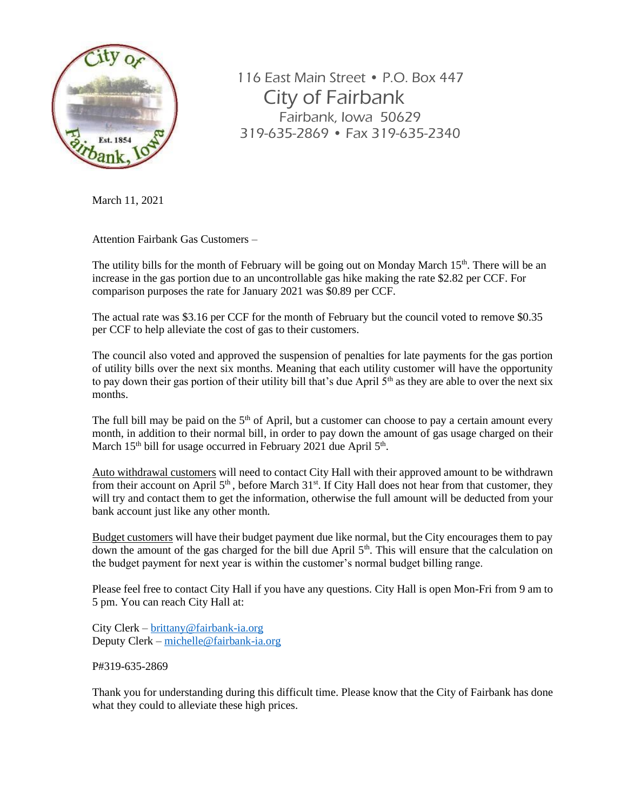

116 East Main Street • P.O. Box 447 City of Fairbank Fairbank, Iowa 50629 319-635-2869 • Fax 319-635-2340

March 11, 2021

Attention Fairbank Gas Customers –

The utility bills for the month of February will be going out on Monday March 15<sup>th</sup>. There will be an increase in the gas portion due to an uncontrollable gas hike making the rate \$2.82 per CCF. For comparison purposes the rate for January 2021 was \$0.89 per CCF.

The actual rate was \$3.16 per CCF for the month of February but the council voted to remove \$0.35 per CCF to help alleviate the cost of gas to their customers.

The council also voted and approved the suspension of penalties for late payments for the gas portion of utility bills over the next six months. Meaning that each utility customer will have the opportunity to pay down their gas portion of their utility bill that's due April  $5<sup>th</sup>$  as they are able to over the next six months.

The full bill may be paid on the  $5<sup>th</sup>$  of April, but a customer can choose to pay a certain amount every month, in addition to their normal bill, in order to pay down the amount of gas usage charged on their March 15<sup>th</sup> bill for usage occurred in February 2021 due April 5<sup>th</sup>.

Auto withdrawal customers will need to contact City Hall with their approved amount to be withdrawn from their account on April  $5<sup>th</sup>$ , before March 31<sup>st</sup>. If City Hall does not hear from that customer, they will try and contact them to get the information, otherwise the full amount will be deducted from your bank account just like any other month.

Budget customers will have their budget payment due like normal, but the City encourages them to pay down the amount of the gas charged for the bill due April  $5<sup>th</sup>$ . This will ensure that the calculation on the budget payment for next year is within the customer's normal budget billing range.

Please feel free to contact City Hall if you have any questions. City Hall is open Mon-Fri from 9 am to 5 pm. You can reach City Hall at:

City Clerk – [brittany@fairbank-ia.org](mailto:brittany@fairbank-ia.org) Deputy Clerk – [michelle@fairbank-ia.org](mailto:michelle@fairbank-ia.org)

P#319-635-2869

Thank you for understanding during this difficult time. Please know that the City of Fairbank has done what they could to alleviate these high prices.